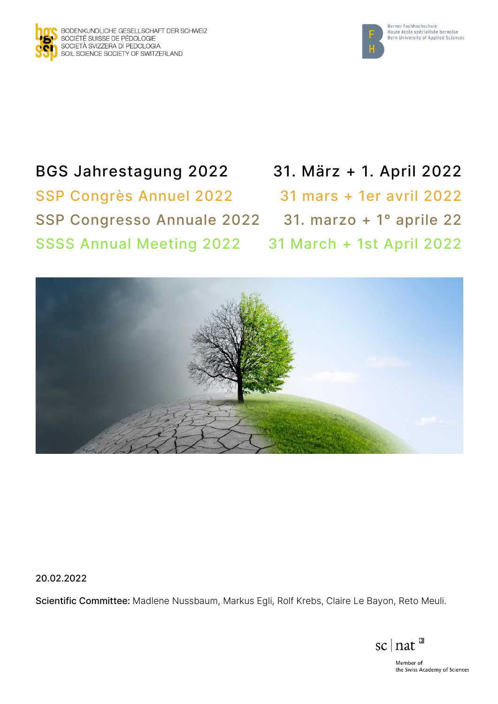



# BGS Jahrestagung 2022 31. März + 1. April 2022 SSP Congrès Annuel 2022 31 mars + 1er avril 2022 SSP Congresso Annuale 2022 31. marzo + 1° aprile 22 SSSS Annual Meeting 2022 31 March + 1st April 2022



20.02.2022

Scientific Committee: Madlene Nussbaum, Markus Egli, Rolf Krebs, Claire Le Bayon, Reto Meuli.

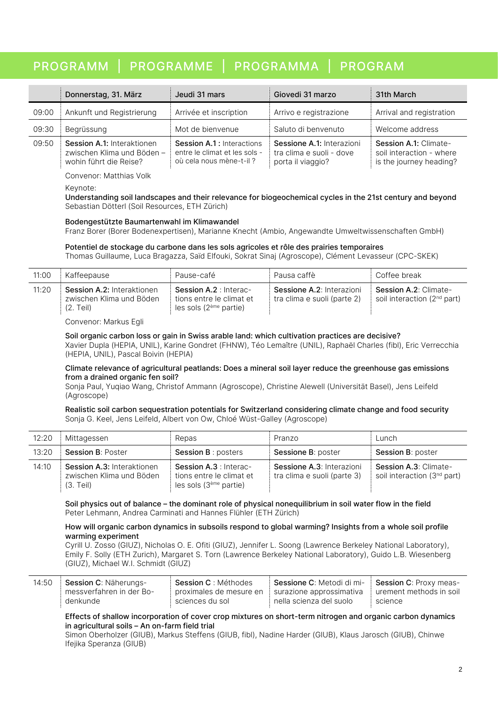## PROGRAMM | PROGRAMME | PROGRAMMA | PROGRAM

|       | Donnerstag, 31. März                                                               | Jeudi 31 mars                                                                                | Giovedi 31 marzo                                                           | 31th March                                                                   |
|-------|------------------------------------------------------------------------------------|----------------------------------------------------------------------------------------------|----------------------------------------------------------------------------|------------------------------------------------------------------------------|
| 09:00 | Ankunft und Registrierung                                                          | Arrivée et inscription                                                                       | Arrivo e registrazione                                                     | Arrival and registration                                                     |
| 09:30 | Begrüssung                                                                         | Mot de bienvenue                                                                             | Saluto di benvenuto                                                        | Welcome address                                                              |
| 09:50 | Session A.1: Interaktionen<br>zwischen Klima und Böden -<br>wohin führt die Reise? | <b>Session A.1: Interactions</b><br>entre le climat et les sols -<br>où cela nous mène-t-il? | Sessione A.1: Interazioni<br>tra clima e suoli - dove<br>porta il viaggio? | Session A.1: Climate-<br>soil interaction - where<br>is the journey heading? |

Convenor: Matthias Volk

Keynote:

Understanding soil landscapes and their relevance for biogeochemical cycles in the 21st century and beyond Sebastian Dötterl (Soil Resources, ETH Zürich)

#### Bodengestützte Baumartenwahl im Klimawandel

Franz Borer (Borer Bodenexpertisen), Marianne Knecht (Ambio, Angewandte Umweltwissenschaften GmbH)

#### Potentiel de stockage du carbone dans les sols agricoles et rôle des prairies temporaires

Thomas Guillaume, Luca Bragazza, Saïd Elfouki, Sokrat Sinaj (Agroscope), Clément Levasseur (CPC-SKEK)

| 11:00 | Kaffeepause                                                         | Pause-café                                                                           | Pausa caffè                                                     | Coffee break                                                            |
|-------|---------------------------------------------------------------------|--------------------------------------------------------------------------------------|-----------------------------------------------------------------|-------------------------------------------------------------------------|
| 11:20 | Session A.2: Interaktionen<br>zwischen Klima und Böden<br>(2. Teil) | <b>Session A.2: Interac-</b><br>tions entre le climat et<br>les sols $(2eme$ partie) | <b>Sessione A.2: Interazioni</b><br>tra clima e suoli (parte 2) | <b>Session A.2: Climate-</b><br>soil interaction (2 <sup>nd</sup> part) |

Convenor: Markus Egli

#### Soil organic carbon loss or gain in Swiss arable land: which cultivation practices are decisive?

Xavier Dupla (HEPIA, UNIL), Karine Gondret (FHNW), Téo Lemaître (UNIL), Raphaël Charles (fibl), Eric Verrecchia (HEPIA, UNIL), Pascal Boivin (HEPIA)

#### Climate relevance of agricultural peatlands: Does a mineral soil layer reduce the greenhouse gas emissions from a drained organic fen soil?

Sonja Paul, Yuqiao Wang, Christof Ammann (Agroscope), Christine Alewell (Universität Basel), Jens Leifeld (Agroscope)

#### Realistic soil carbon sequestration potentials for Switzerland considering climate change and food security Sonja G. Keel, Jens Leifeld, Albert von Ow, Chloé Wüst-Galley (Agroscope)

| 12:20 | Mittagessen                                                           | Repas                                                                          | Pranzo                                                          | Lunch                                                            |
|-------|-----------------------------------------------------------------------|--------------------------------------------------------------------------------|-----------------------------------------------------------------|------------------------------------------------------------------|
| 13:20 | <b>Session B: Poster</b>                                              | <b>Session B: posters</b>                                                      | <b>Sessione B: poster</b>                                       | <b>Session B: poster</b>                                         |
| 14:10 | Session A.3: Interaktionen<br>zwischen Klima und Böden<br>$(3.$ Teil) | Session A.3 : Interac-<br>tions entre le climat et<br>les sols $(3eme$ partie) | <b>Sessione A.3: Interazioni</b><br>tra clima e suoli (parte 3) | Session A.3: Climate-<br>soil interaction (3 <sup>nd</sup> part) |

Soil physics out of balance – the dominant role of physical nonequilibrium in soil water flow in the field Peter Lehmann, Andrea Carminati and Hannes Flühler (ETH Zürich)

#### How will organic carbon dynamics in subsoils respond to global warming? Insights from a whole soil profile warming experiment

Cyrill U. Zosso (GIUZ), Nicholas O. E. Ofiti (GIUZ), Jennifer L. Soong (Lawrence Berkeley National Laboratory), Emily F. Solly (ETH Zurich), Margaret S. Torn (Lawrence Berkeley National Laboratory), Guido L.B. Wiesenberg (GIUZ), Michael W.I. Schmidt (GIUZ)

| 14:50 | <b>Session C: Näherungs-</b> | Session C : Méthodes    | ⊧ Sessione C: Metodi di mi- | Session C: Proxy meas-  |
|-------|------------------------------|-------------------------|-----------------------------|-------------------------|
|       | messverfahren in der Bo-     | proximales de mesure en | surazione approssimativa    | urement methods in soil |
|       | denkunde                     | sciences du sol         | nella scienza del suolo     | science                 |

#### Effects of shallow incorporation of cover crop mixtures on short-term nitrogen and organic carbon dynamics in agricultural soils – An on-farm field trial

Simon Oberholzer (GIUB), Markus Steffens (GIUB, fibl), Nadine Harder (GIUB), Klaus Jarosch (GIUB), Chinwe Ifejika Speranza (GIUB)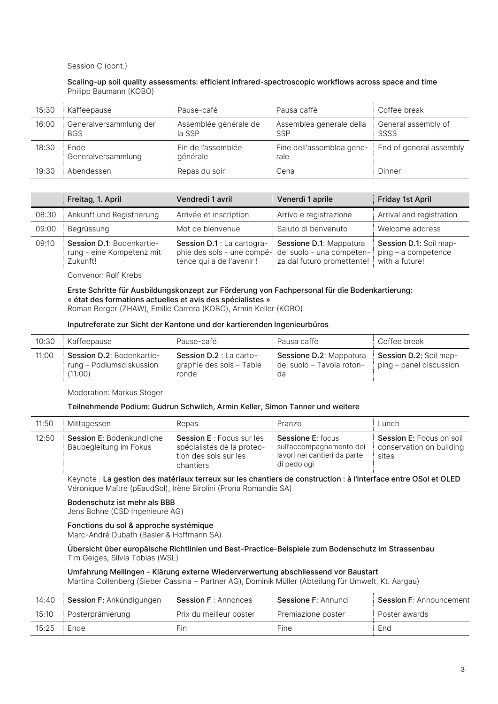#### Session C (cont.)

#### Scaling-up soil quality assessments: efficient infrared-spectroscopic workflows across space and time Philipp Baumann (KOBO)

| 15:30 | Kaffeepause                          | Pause-café                      | Pausa caffè                       | Coffee break                |
|-------|--------------------------------------|---------------------------------|-----------------------------------|-----------------------------|
| 16:00 | Generalversammlung der<br><b>BGS</b> | Assemblée générale de<br>la SSP | Assemblea generale della<br>SSP   | General assembly of<br>SSSS |
| 18:30 | Ende<br>Generalversammlung           | Fin de l'assemblée<br>qénérale  | Fine dell'assemblea gene-<br>rale | End of general assembly     |
| 19:30 | Abendessen                           | Repas du soir                   | Cena                              | Dinner                      |

|       | Freitag, 1. April                                                  | Vendredi 1 avril                                                                      | Venerdì 1 aprile                                                                   | Friday 1st April                                                |
|-------|--------------------------------------------------------------------|---------------------------------------------------------------------------------------|------------------------------------------------------------------------------------|-----------------------------------------------------------------|
| 08:30 | Ankunft und Registrierung                                          | Arrivée et inscription                                                                | Arrivo e registrazione                                                             | Arrival and registration                                        |
| 09:00 | Begrüssung                                                         | Mot de bienvenue                                                                      | Saluto di benvenuto                                                                | Welcome address                                                 |
| 09:10 | Session D.1: Bodenkartie-<br>rung - eine Kompetenz mit<br>Zukunft! | Session D.1 : La cartogra-<br>phie des sols - une compé-<br>tence qui a de l'avenir ! | Sessione D.1: Mappatura<br>del suolo - una competen-<br>za dal futuro promettente! | Session D.1: Soil map-<br>ping - a competence<br>with a future! |

Convenor: Rolf Krebs

Erste Schritte für Ausbildungskonzept zur Förderung von Fachpersonal für die Bodenkartierung: « état des formations actuelles et avis des spécialistes » Roman Berger (ZHAW), Emilie Carrera (KOBO), Armin Keller (KOBO)

#### Inputreferate zur Sicht der Kantone und der kartierenden Ingenieurbüros

| 10:30 | Kaffeepause                                                      | Pause-café                                                          | Pausa caffè                                                       | Coffee break                                      |
|-------|------------------------------------------------------------------|---------------------------------------------------------------------|-------------------------------------------------------------------|---------------------------------------------------|
| 11:00 | Session D.2: Bodenkartie-<br>rung – Podiumsdiskussion<br>(11:00) | <b>Session D.2</b> : La carto-<br>graphie des sols - Table<br>ronde | <b>Sessione D.2: Mappatura</b><br>del suolo - Tavola roton-<br>da | Session D.2: Soil map-<br>ping – panel discussion |

Moderation: Markus Steger

#### Teilnehmende Podium: Gudrun Schwilch, Armin Keller, Simon Tanner und weitere

| 11:50 | Mittagessen                                                | Repas                                                                                                | Pranzo                                                                                       | Lunch                                                                |
|-------|------------------------------------------------------------|------------------------------------------------------------------------------------------------------|----------------------------------------------------------------------------------------------|----------------------------------------------------------------------|
| 12:50 | <b>Session E: Bodenkundliche</b><br>Baubegleitung im Fokus | <b>Session E</b> : Focus sur les<br>spécialistes de la protec-<br>tion des sols sur les<br>chantiers | Sessione E: focus<br>sull'accompagnamento dei<br>lavori nei cantieri da parte<br>di pedologi | <b>Session E:</b> Focus on soil<br>conservation on building<br>sites |

Keynote : La gestion des matériaux terreux sur les chantiers de construction : à l'interface entre OSol et OLED Véronique Maître (pEaudSol), Irène Birolini (Prona Romandie SA)

#### Bodenschutz ist mehr als BBB

Jens Bohne (CSD Ingenieure AG)

Fonctions du sol & approche systémique Marc-André Dubath (Basler & Hoffmann SA)

#### Übersicht über europäische Richtlinien und Best-Practice-Beispiele zum Bodenschutz im Strassenbau Tim Geiges, Silvia Tobias (WSL)

#### Umfahrung Mellingen - Klärung externe Wiederverwertung abschliessend vor Baustart

Martina Collenberg (Sieber Cassina + Partner AG), Dominik Müller (Abteilung für Umwelt, Kt. Aargau)

| 14:40 | Session F: Ankündigungen | <b>Session F: Annonces</b> | Sessione F: Annunci | <b>Session F: Announcement</b> |
|-------|--------------------------|----------------------------|---------------------|--------------------------------|
| 15:10 | Posterprämierung         | Prix du meilleur poster    | Premiazione poster  | Poster awards                  |
| 15:25 | Ende                     | Fin                        | Fine                | End                            |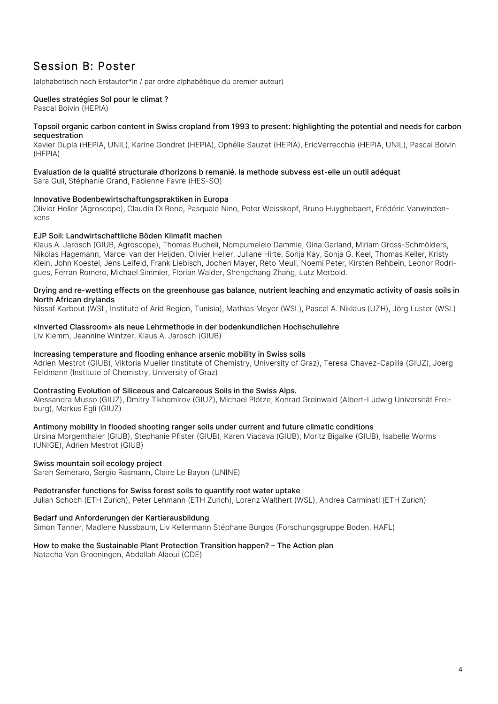### Session B: Poster

(alphabetisch nach Erstautor\*in / par ordre alphabétique du premier auteur)

### Quelles stratégies Sol pour le climat ?

Pascal Boivin (HEPIA)

#### Topsoil organic carbon content in Swiss cropland from 1993 to present: highlighting the potential and needs for carbon sequestration

Xavier Dupla (HEPIA, UNIL), Karine Gondret (HEPIA), Ophélie Sauzet (HEPIA), EricVerrecchia (HEPIA, UNIL), Pascal Boivin (HEPIA)

#### Evaluation de la qualité structurale d'horizons b remanié. la methode subvess est-elle un outil adéquat Sara Guil, Stéphanie Grand, Fabienne Favre (HES-SO)

#### Innovative Bodenbewirtschaftungspraktiken in Europa

Olivier Heller (Agroscope), Claudia Di Bene, Pasquale Nino, Peter Weisskopf, Bruno Huyghebaert, Frédéric Vanwindenkens

#### EJP Soil: Landwirtschaftliche Böden Klimafit machen

Klaus A. Jarosch (GIUB, Agroscope), Thomas Bucheli, Nompumelelo Dammie, Gina Garland, Miriam Gross-Schmölders, Nikolas Hagemann, Marcel van der Heijden, Olivier Heller, Juliane Hirte, Sonja Kay, Sonja G. Keel, Thomas Keller, Kristy Klein, John Koestel, Jens Leifeld, Frank Liebisch, Jochen Mayer, Reto Meuli, Noemi Peter, Kirsten Rehbein, Leonor Rodrigues, Ferran Romero, Michael Simmler, Florian Walder, Shengchang Zhang, Lutz Merbold.

#### Drying and re-wetting effects on the greenhouse gas balance, nutrient leaching and enzymatic activity of oasis soils in North African drylands

Nissaf Karbout (WSL, Institute of Arid Region, Tunisia), Mathias Meyer (WSL), Pascal A. Niklaus (UZH), Jörg Luster (WSL)

#### «Inverted Classroom» als neue Lehrmethode in der bodenkundlichen Hochschullehre

Liv Klemm, Jeannine Wintzer, Klaus A. Jarosch (GIUB)

#### Increasing temperature and flooding enhance arsenic mobility in Swiss soils

Adrien Mestrot (GIUB), Viktoria Mueller (Institute of Chemistry, University of Graz), Teresa Chavez-Capilla (GIUZ), Joerg Feldmann (Institute of Chemistry, University of Graz)

#### Contrasting Evolution of Siliceous and Calcareous Soils in the Swiss Alps.

Alessandra Musso (GIUZ), Dmitry Tikhomirov (GIUZ), Michael Plötze, Konrad Greinwald (Albert-Ludwig Universität Freiburg), Markus Egli (GIUZ)

#### Antimony mobility in flooded shooting ranger soils under current and future climatic conditions

Ursina Morgenthaler (GIUB), Stephanie Pfister (GIUB), Karen Viacava (GIUB), Moritz Bigalke (GIUB), Isabelle Worms (UNIGE), Adrien Mestrot (GIUB)

#### Swiss mountain soil ecology project

Sarah Semeraro, Sergio Rasmann, Claire Le Bayon (UNINE)

#### Pedotransfer functions for Swiss forest soils to quantify root water uptake

Julian Schoch (ETH Zurich), Peter Lehmann (ETH Zurich), Lorenz Walthert (WSL), Andrea Carminati (ETH Zurich)

#### Bedarf und Anforderungen der Kartierausbildung

Simon Tanner, Madlene Nussbaum, Liv Kellermann Stéphane Burgos (Forschungsgruppe Boden, HAFL)

#### How to make the Sustainable Plant Protection Transition happen? – The Action plan

Natacha Van Groeningen, Abdallah Alaoui (CDE)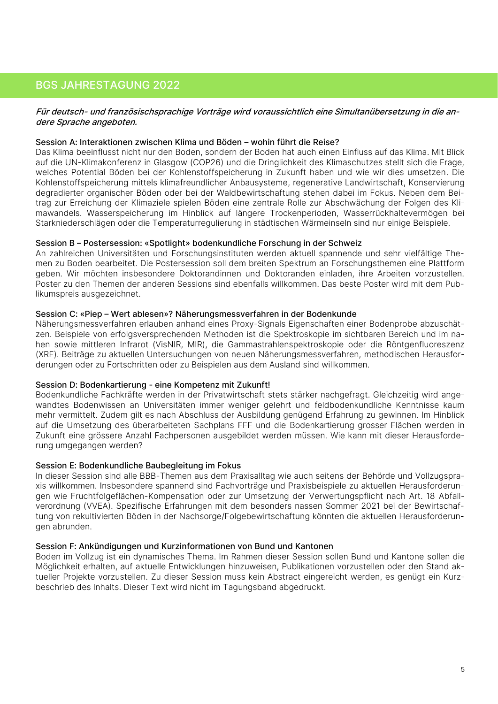### BGS JAHRESTAGUNG 2022

#### Für deutsch- und französischsprachige Vorträge wird voraussichtlich eine Simultanübersetzung in die andere Sprache angeboten.

#### Session A: Interaktionen zwischen Klima und Böden – wohin führt die Reise?

Das Klima beeinflusst nicht nur den Boden, sondern der Boden hat auch einen Einfluss auf das Klima. Mit Blick auf die UN-Klimakonferenz in Glasgow (COP26) und die Dringlichkeit des Klimaschutzes stellt sich die Frage, welches Potential Böden bei der Kohlenstoffspeicherung in Zukunft haben und wie wir dies umsetzen. Die Kohlenstoffspeicherung mittels klimafreundlicher Anbausysteme, regenerative Landwirtschaft, Konservierung degradierter organischer Böden oder bei der Waldbewirtschaftung stehen dabei im Fokus. Neben dem Beitrag zur Erreichung der Klimaziele spielen Böden eine zentrale Rolle zur Abschwächung der Folgen des Klimawandels. Wasserspeicherung im Hinblick auf längere Trockenperioden, Wasserrückhaltevermögen bei Starkniederschlägen oder die Temperaturregulierung in städtischen Wärmeinseln sind nur einige Beispiele.

#### Session B – Postersession: «Spotlight» bodenkundliche Forschung in der Schweiz

An zahlreichen Universitäten und Forschungsinstituten werden aktuell spannende und sehr vielfältige Themen zu Boden bearbeitet. Die Postersession soll dem breiten Spektrum an Forschungsthemen eine Plattform geben. Wir möchten insbesondere Doktorandinnen und Doktoranden einladen, ihre Arbeiten vorzustellen. Poster zu den Themen der anderen Sessions sind ebenfalls willkommen. Das beste Poster wird mit dem Publikumspreis ausgezeichnet.

#### Session C: «Piep – Wert ablesen»? Näherungsmessverfahren in der Bodenkunde

Näherungsmessverfahren erlauben anhand eines Proxy-Signals Eigenschaften einer Bodenprobe abzuschätzen. Beispiele von erfolgsversprechenden Methoden ist die Spektroskopie im sichtbaren Bereich und im nahen sowie mittleren Infrarot (VisNIR, MIR), die Gammastrahlenspektroskopie oder die Röntgenfluoreszenz (XRF). Beiträge zu aktuellen Untersuchungen von neuen Näherungsmessverfahren, methodischen Herausforderungen oder zu Fortschritten oder zu Beispielen aus dem Ausland sind willkommen.

#### Session D: Bodenkartierung - eine Kompetenz mit Zukunft!

Bodenkundliche Fachkräfte werden in der Privatwirtschaft stets stärker nachgefragt. Gleichzeitig wird angewandtes Bodenwissen an Universitäten immer weniger gelehrt und feldbodenkundliche Kenntnisse kaum mehr vermittelt. Zudem gilt es nach Abschluss der Ausbildung genügend Erfahrung zu gewinnen. Im Hinblick auf die Umsetzung des überarbeiteten Sachplans FFF und die Bodenkartierung grosser Flächen werden in Zukunft eine grössere Anzahl Fachpersonen ausgebildet werden müssen. Wie kann mit dieser Herausforderung umgegangen werden?

#### Session E: Bodenkundliche Baubegleitung im Fokus

In dieser Session sind alle BBB-Themen aus dem Praxisalltag wie auch seitens der Behörde und Vollzugspraxis willkommen. Insbesondere spannend sind Fachvorträge und Praxisbeispiele zu aktuellen Herausforderungen wie Fruchtfolgeflächen-Kompensation oder zur Umsetzung der Verwertungspflicht nach Art. 18 Abfallverordnung (VVEA). Spezifische Erfahrungen mit dem besonders nassen Sommer 2021 bei der Bewirtschaftung von rekultivierten Böden in der Nachsorge/Folgebewirtschaftung könnten die aktuellen Herausforderungen abrunden.

#### Session F: Ankündigungen und Kurzinformationen von Bund und Kantonen

Boden im Vollzug ist ein dynamisches Thema. Im Rahmen dieser Session sollen Bund und Kantone sollen die Möglichkeit erhalten, auf aktuelle Entwicklungen hinzuweisen, Publikationen vorzustellen oder den Stand aktueller Projekte vorzustellen. Zu dieser Session muss kein Abstract eingereicht werden, es genügt ein Kurzbeschrieb des Inhalts. Dieser Text wird nicht im Tagungsband abgedruckt.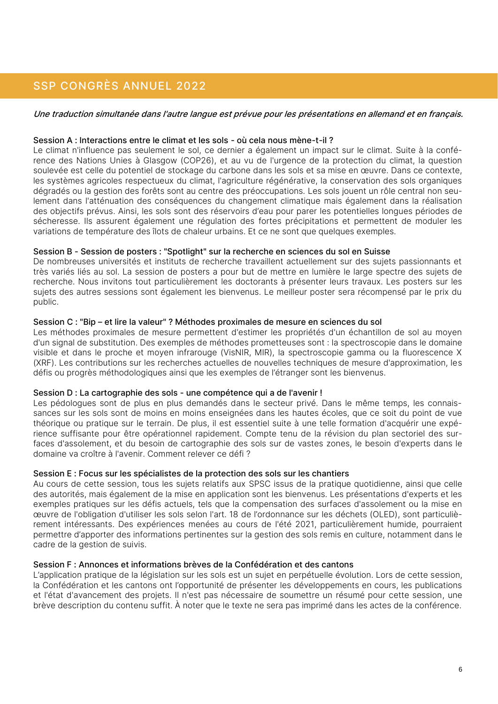### SSP CONGRÈS ANNUEL 2022

#### Une traduction simultanée dans l'autre langue est prévue pour les présentations en allemand et en français.

#### Session A : Interactions entre le climat et les sols - où cela nous mène-t-il ?

Le climat n'influence pas seulement le sol, ce dernier a également un impact sur le climat. Suite à la conférence des Nations Unies à Glasgow (COP26), et au vu de l'urgence de la protection du climat, la question soulevée est celle du potentiel de stockage du carbone dans les sols et sa mise en œuvre. Dans ce contexte, les systèmes agricoles respectueux du climat, l'agriculture régénérative, la conservation des sols organiques dégradés ou la gestion des forêts sont au centre des préoccupations. Les sols jouent un rôle central non seulement dans l'atténuation des conséquences du changement climatique mais également dans la réalisation des objectifs prévus. Ainsi, les sols sont des réservoirs d'eau pour parer les potentielles longues périodes de sécheresse. Ils assurent également une régulation des fortes précipitations et permettent de moduler les variations de température des îlots de chaleur urbains. Et ce ne sont que quelques exemples.

#### Session B - Session de posters : "Spotlight" sur la recherche en sciences du sol en Suisse

De nombreuses universités et instituts de recherche travaillent actuellement sur des sujets passionnants et très variés liés au sol. La session de posters a pour but de mettre en lumière le large spectre des sujets de recherche. Nous invitons tout particulièrement les doctorants à présenter leurs travaux. Les posters sur les sujets des autres sessions sont également les bienvenus. Le meilleur poster sera récompensé par le prix du public.

#### Session C : "Bip – et lire la valeur" ? Méthodes proximales de mesure en sciences du sol

Les méthodes proximales de mesure permettent d'estimer les propriétés d'un échantillon de sol au moyen d'un signal de substitution. Des exemples de méthodes prometteuses sont : la spectroscopie dans le domaine visible et dans le proche et moyen infrarouge (VisNIR, MIR), la spectroscopie gamma ou la fluorescence X (XRF). Les contributions sur les recherches actuelles de nouvelles techniques de mesure d'approximation, les défis ou progrès méthodologiques ainsi que les exemples de l'étranger sont les bienvenus.

#### Session D : La cartographie des sols - une compétence qui a de l'avenir !

Les pédologues sont de plus en plus demandés dans le secteur privé. Dans le même temps, les connaissances sur les sols sont de moins en moins enseignées dans les hautes écoles, que ce soit du point de vue théorique ou pratique sur le terrain. De plus, il est essentiel suite à une telle formation d'acquérir une expérience suffisante pour être opérationnel rapidement. Compte tenu de la révision du plan sectoriel des surfaces d'assolement, et du besoin de cartographie des sols sur de vastes zones, le besoin d'experts dans le domaine va croître à l'avenir. Comment relever ce défi ?

#### Session E : Focus sur les spécialistes de la protection des sols sur les chantiers

Au cours de cette session, tous les sujets relatifs aux SPSC issus de la pratique quotidienne, ainsi que celle des autorités, mais également de la mise en application sont les bienvenus. Les présentations d'experts et les exemples pratiques sur les défis actuels, tels que la compensation des surfaces d'assolement ou la mise en œuvre de l'obligation d'utiliser les sols selon l'art. 18 de l'ordonnance sur les déchets (OLED), sont particulièrement intéressants. Des expériences menées au cours de l'été 2021, particulièrement humide, pourraient permettre d'apporter des informations pertinentes sur la gestion des sols remis en culture, notamment dans le cadre de la gestion de suivis.

#### Session F : Annonces et informations brèves de la Confédération et des cantons

L'application pratique de la législation sur les sols est un sujet en perpétuelle évolution. Lors de cette session, la Confédération et les cantons ont l'opportunité de présenter les développements en cours, les publications et l'état d'avancement des projets. Il n'est pas nécessaire de soumettre un résumé pour cette session, une brève description du contenu suffit. À noter que le texte ne sera pas imprimé dans les actes de la conférence.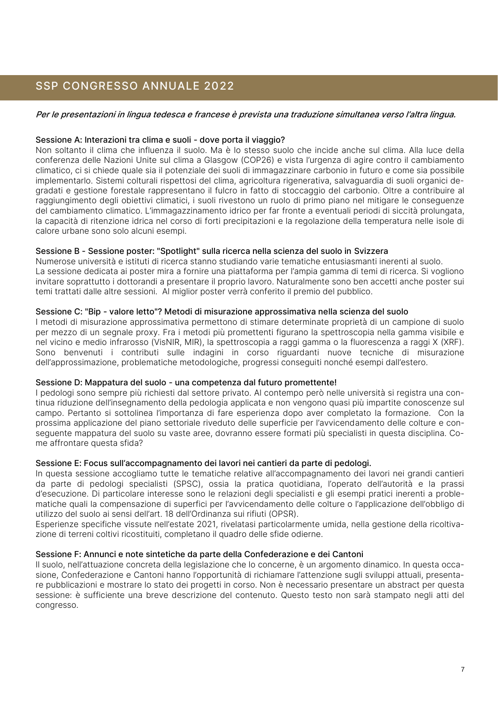### SSP CONGRESSO ANNUALE 2022

#### Per le presentazioni in lingua tedesca e francese è prevista una traduzione simultanea verso l'altra lingua.

#### Sessione A: Interazioni tra clima e suoli - dove porta il viaggio?

Non soltanto il clima che influenza il suolo. Ma è lo stesso suolo che incide anche sul clima. Alla luce della conferenza delle Nazioni Unite sul clima a Glasgow (COP26) e vista l'urgenza di agire contro il cambiamento climatico, ci si chiede quale sia il potenziale dei suoli di immagazzinare carbonio in futuro e come sia possibile implementarlo. Sistemi colturali rispettosi del clima, agricoltura rigenerativa, salvaguardia di suoli organici degradati e gestione forestale rappresentano il fulcro in fatto di stoccaggio del carbonio. Oltre a contribuire al raggiungimento degli obiettivi climatici, i suoli rivestono un ruolo di primo piano nel mitigare le conseguenze del cambiamento climatico. L'immagazzinamento idrico per far fronte a eventuali periodi di siccità prolungata, la capacità di ritenzione idrica nel corso di forti precipitazioni e la regolazione della temperatura nelle isole di calore urbane sono solo alcuni esempi.

#### Sessione B - Sessione poster: "Spotlight" sulla ricerca nella scienza del suolo in Svizzera

Numerose università e istituti di ricerca stanno studiando varie tematiche entusiasmanti inerenti al suolo. La sessione dedicata ai poster mira a fornire una piattaforma per l'ampia gamma di temi di ricerca. Si vogliono invitare soprattutto i dottorandi a presentare il proprio lavoro. Naturalmente sono ben accetti anche poster sui temi trattati dalle altre sessioni. Al miglior poster verrà conferito il premio del pubblico.

#### Sessione C: "Bip - valore letto"? Metodi di misurazione approssimativa nella scienza del suolo

I metodi di misurazione approssimativa permettono di stimare determinate proprietà di un campione di suolo per mezzo di un segnale proxy. Fra i metodi più promettenti figurano la spettroscopia nella gamma visibile e nel vicino e medio infrarosso (VisNIR, MIR), la spettroscopia a raggi gamma o la fluorescenza a raggi X (XRF). Sono benvenuti i contributi sulle indagini in corso riguardanti nuove tecniche di misurazione dell'approssimazione, problematiche metodologiche, progressi conseguiti nonché esempi dall'estero.

#### Sessione D: Mappatura del suolo - una competenza dal futuro promettente!

I pedologi sono sempre più richiesti dal settore privato. Al contempo però nelle università si registra una continua riduzione dell'insegnamento della pedologia applicata e non vengono quasi più impartite conoscenze sul campo. Pertanto si sottolinea l'importanza di fare esperienza dopo aver completato la formazione. Con la prossima applicazione del piano settoriale riveduto delle superficie per l'avvicendamento delle colture e conseguente mappatura del suolo su vaste aree, dovranno essere formati più specialisti in questa disciplina. Come affrontare questa sfida?

#### Sessione E: Focus sull'accompagnamento dei lavori nei cantieri da parte di pedologi.

In questa sessione accogliamo tutte le tematiche relative all'accompagnamento dei lavori nei grandi cantieri da parte di pedologi specialisti (SPSC), ossia la pratica quotidiana, l'operato dell'autorità e la prassi d'esecuzione. Di particolare interesse sono le relazioni degli specialisti e gli esempi pratici inerenti a problematiche quali la compensazione di superfici per l'avvicendamento delle colture o l'applicazione dell'obbligo di utilizzo del suolo ai sensi dell'art. 18 dell'Ordinanza sui rifiuti (OPSR).

Esperienze specifiche vissute nell'estate 2021, rivelatasi particolarmente umida, nella gestione della ricoltivazione di terreni coltivi ricostituiti, completano il quadro delle sfide odierne.

#### Sessione F: Annunci e note sintetiche da parte della Confederazione e dei Cantoni

Il suolo, nell'attuazione concreta della legislazione che lo concerne, è un argomento dinamico. In questa occasione, Confederazione e Cantoni hanno l'opportunità di richiamare l'attenzione sugli sviluppi attuali, presentare pubblicazioni e mostrare lo stato dei progetti in corso. Non è necessario presentare un abstract per questa sessione: è sufficiente una breve descrizione del contenuto. Questo testo non sarà stampato negli atti del congresso.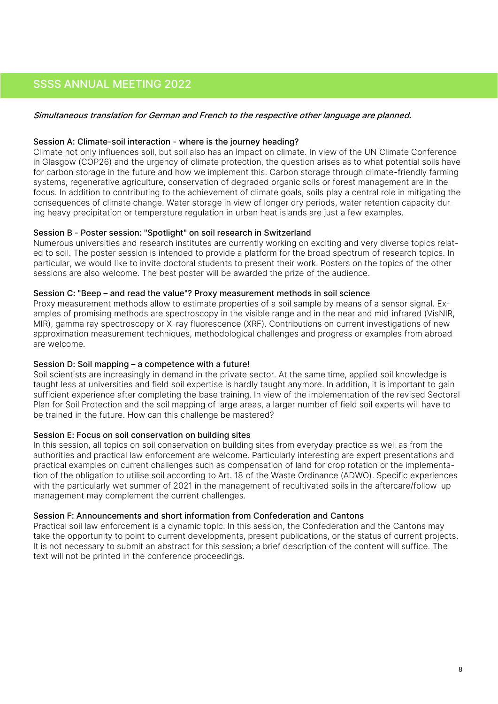### SSSS ANNUAL MEETING 2022

#### Simultaneous translation for German and French to the respective other language are planned.

#### Session A: Climate-soil interaction - where is the journey heading?

Climate not only influences soil, but soil also has an impact on climate. In view of the UN Climate Conference in Glasgow (COP26) and the urgency of climate protection, the question arises as to what potential soils have for carbon storage in the future and how we implement this. Carbon storage through climate-friendly farming systems, regenerative agriculture, conservation of degraded organic soils or forest management are in the focus. In addition to contributing to the achievement of climate goals, soils play a central role in mitigating the consequences of climate change. Water storage in view of longer dry periods, water retention capacity during heavy precipitation or temperature regulation in urban heat islands are just a few examples.

#### Session B - Poster session: "Spotlight" on soil research in Switzerland

Numerous universities and research institutes are currently working on exciting and very diverse topics related to soil. The poster session is intended to provide a platform for the broad spectrum of research topics. In particular, we would like to invite doctoral students to present their work. Posters on the topics of the other sessions are also welcome. The best poster will be awarded the prize of the audience.

#### Session C: "Beep – and read the value"? Proxy measurement methods in soil science

Proxy measurement methods allow to estimate properties of a soil sample by means of a sensor signal. Examples of promising methods are spectroscopy in the visible range and in the near and mid infrared (VisNIR, MIR), gamma ray spectroscopy or X-ray fluorescence (XRF). Contributions on current investigations of new approximation measurement techniques, methodological challenges and progress or examples from abroad are welcome.

#### Session D: Soil mapping – a competence with a future!

Soil scientists are increasingly in demand in the private sector. At the same time, applied soil knowledge is taught less at universities and field soil expertise is hardly taught anymore. In addition, it is important to gain sufficient experience after completing the base training. In view of the implementation of the revised Sectoral Plan for Soil Protection and the soil mapping of large areas, a larger number of field soil experts will have to be trained in the future. How can this challenge be mastered?

#### Session E: Focus on soil conservation on building sites

In this session, all topics on soil conservation on building sites from everyday practice as well as from the authorities and practical law enforcement are welcome. Particularly interesting are expert presentations and practical examples on current challenges such as compensation of land for crop rotation or the implementation of the obligation to utilise soil according to Art. 18 of the Waste Ordinance (ADWO). Specific experiences with the particularly wet summer of 2021 in the management of recultivated soils in the aftercare/follow-up management may complement the current challenges.

#### Session F: Announcements and short information from Confederation and Cantons

Practical soil law enforcement is a dynamic topic. In this session, the Confederation and the Cantons may take the opportunity to point to current developments, present publications, or the status of current projects. It is not necessary to submit an abstract for this session; a brief description of the content will suffice. The text will not be printed in the conference proceedings.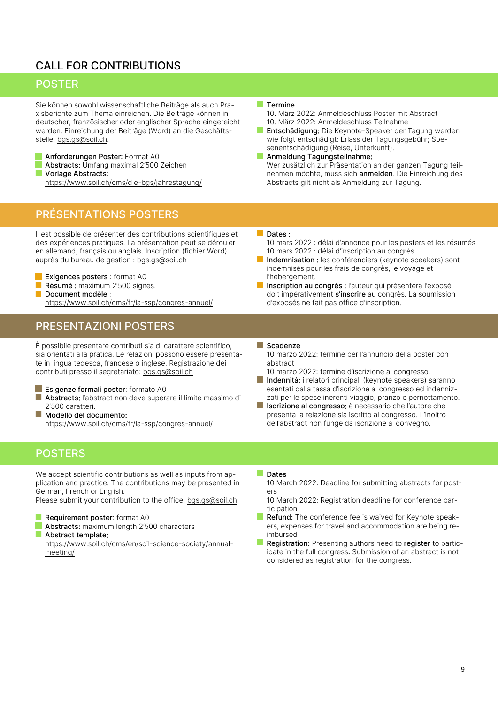### CALL FOR CONTRIBUTIONS

### **POSTER**

Sie können sowohl wissenschaftliche Beiträge als auch Praxisberichte zum Thema einreichen. Die Beiträge können in deutscher, französischer oder englischer Sprache eingereicht werden. Einreichung der Beiträge (Word) an die Geschäftsstelle: [bgs.gs@soil.ch.](mailto:bgs.gs@soil.ch)

Anforderungen Poster: Format A0 **Tale** Abstracts: Umfang maximal 2'500 Zeichen Vorlage Abstracts: <https://www.soil.ch/cms/die-bgs/jahrestagung/>

### PRÉSENTATIONS POSTERS

Il est possible de présenter des contributions scientifiques et des expériences pratiques. La présentation peut se dérouler en allemand, français ou anglais. Inscription (fichier Word) auprès du bureau de gestion : [bgs.gs@soil.ch](mailto:bgs.gs@soil.ch)

Exigences posters : format A0 Résumé : maximum 2'500 signes. Document modèle : <https://www.soil.ch/cms/fr/la-ssp/congres-annuel/>

### PRESENTAZIONI POSTERS

È possibile presentare contributi sia di carattere scientifico, sia orientati alla pratica. Le relazioni possono essere presentate in lingua tedesca, francese o inglese. Registrazione dei contributi presso il segretariato: [bgs.gs@soil.ch](mailto:bgs.gs@soil.ch)

- L. Esigenze formali poster: formato A0 T. Abstracts: l'abstract non deve superare il limite massimo di 2'500 caratteri.
- T. Modello del documento: <https://www.soil.ch/cms/fr/la-ssp/congres-annuel/>

#### **Termine**

10. März 2022: Anmeldeschluss Poster mit Abstract 10. März 2022: Anmeldeschluss Teilnahme

- $\mathbb{R}^n$ Entschädigung: Die Keynote-Speaker der Tagung werden wie folgt entschädigt: Erlass der Tagungsgebühr; Spesenentschädigung (Reise, Unterkunft).
- **Anmeldung Tagungsteilnahme:** Wer zusätzlich zur Präsentation an der ganzen Tagung teilnehmen möchte, muss sich anmelden. Die Einreichung des Abstracts gilt nicht als Anmeldung zur Tagung.

#### Dates :

10 mars 2022 : délai d'annonce pour les posters et les résumés 10 mars 2022 : délai d'inscription au congrès.

- Indemnisation : les conférenciers (keynote speakers) sont indemnisés pour les frais de congrès, le voyage et l'hébergement.
- Inscription au congrès : l'auteur qui présentera l'exposé doit impérativement s'inscrire au congrès. La soumission d'exposés ne fait pas office d'inscription.

#### Scadenze

10 marzo 2022: termine per l'annuncio della poster con abstract

- 10 marzo 2022: termine d'iscrizione al congresso.
- T. Indennità: i relatori principali (keynote speakers) saranno esentati dalla tassa d'iscrizione al congresso ed indennizzati per le spese inerenti viaggio, pranzo e pernottamento.
- $\mathcal{L}_{\mathcal{A}}$ Iscrizione al congresso: è necessario che l'autore che presenta la relazione sia iscritto al congresso. L'inoltro dell'abstract non funge da iscrizione al convegno.

### **POSTERS**

We accept scientific contributions as well as inputs from application and practice. The contributions may be presented in German, French or English.

Please submit your contribution to the office[: bgs.gs@soil.ch.](mailto:bgs.gs@soil.ch)

**I** Requirement poster: format A0

- Abstracts: maximum length 2'500 characters
- Abstract template:

[https://www.soil.ch/cms/en/soil-science-society/annual](https://www.soil.ch/cms/en/soil-science-society/annual-meeting/)[meeting/](https://www.soil.ch/cms/en/soil-science-society/annual-meeting/)

#### **Dates**

10 March 2022: Deadline for submitting abstracts for posters

10 March 2022: Registration deadline for conference participation

- Refund: The conference fee is waived for Keynote speakers, expenses for travel and accommodation are being reimbursed
- Registration: Presenting authors need to register to participate in the full congress. Submission of an abstract is not considered as registration for the congress.